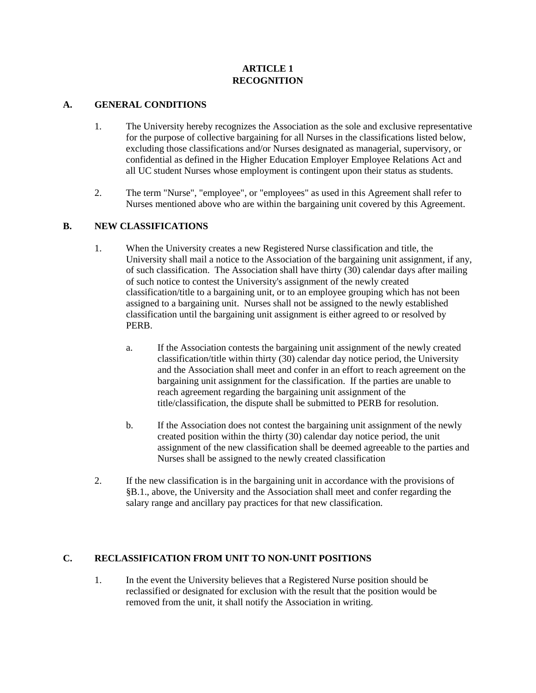### **ARTICLE 1 RECOGNITION**

#### **A. GENERAL CONDITIONS**

- 1. The University hereby recognizes the Association as the sole and exclusive representative for the purpose of collective bargaining for all Nurses in the classifications listed below, excluding those classifications and/or Nurses designated as managerial, supervisory, or confidential as defined in the Higher Education Employer Employee Relations Act and all UC student Nurses whose employment is contingent upon their status as students.
- 2. The term "Nurse", "employee", or "employees" as used in this Agreement shall refer to Nurses mentioned above who are within the bargaining unit covered by this Agreement.

### **B. NEW CLASSIFICATIONS**

- 1. When the University creates a new Registered Nurse classification and title, the University shall mail a notice to the Association of the bargaining unit assignment, if any, of such classification. The Association shall have thirty (30) calendar days after mailing of such notice to contest the University's assignment of the newly created classification/title to a bargaining unit, or to an employee grouping which has not been assigned to a bargaining unit. Nurses shall not be assigned to the newly established classification until the bargaining unit assignment is either agreed to or resolved by PERB.
	- a. If the Association contests the bargaining unit assignment of the newly created classification/title within thirty (30) calendar day notice period, the University and the Association shall meet and confer in an effort to reach agreement on the bargaining unit assignment for the classification. If the parties are unable to reach agreement regarding the bargaining unit assignment of the title/classification, the dispute shall be submitted to PERB for resolution.
	- b. If the Association does not contest the bargaining unit assignment of the newly created position within the thirty (30) calendar day notice period, the unit assignment of the new classification shall be deemed agreeable to the parties and Nurses shall be assigned to the newly created classification
- 2. If the new classification is in the bargaining unit in accordance with the provisions of §B.1., above, the University and the Association shall meet and confer regarding the salary range and ancillary pay practices for that new classification.

# **C. RECLASSIFICATION FROM UNIT TO NON-UNIT POSITIONS**

1. In the event the University believes that a Registered Nurse position should be reclassified or designated for exclusion with the result that the position would be removed from the unit, it shall notify the Association in writing.